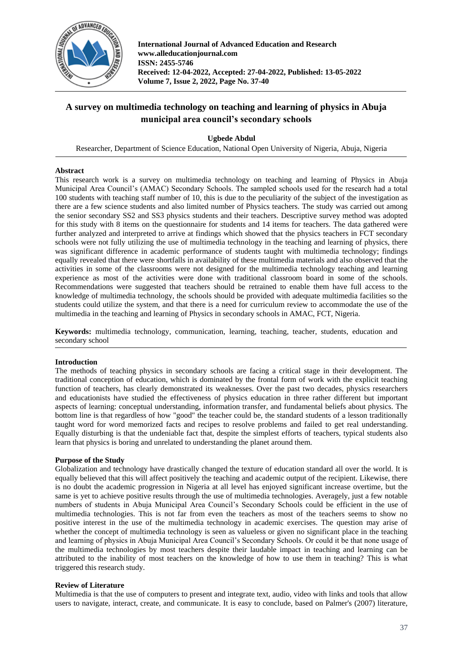

**International Journal of Advanced Education and Research www.alleducationjournal.com ISSN: 2455-5746 Received: 12-04-2022, Accepted: 27-04-2022, Published: 13-05-2022 Volume 7, Issue 2, 2022, Page No. 37-40**

# **A survey on multimedia technology on teaching and learning of physics in Abuja municipal area council's secondary schools**

**Ugbede Abdul**

Researcher, Department of Science Education, National Open University of Nigeria, Abuja, Nigeria

# **Abstract**

This research work is a survey on multimedia technology on teaching and learning of Physics in Abuja Municipal Area Council's (AMAC) Secondary Schools. The sampled schools used for the research had a total 100 students with teaching staff number of 10, this is due to the peculiarity of the subject of the investigation as there are a few science students and also limited number of Physics teachers. The study was carried out among the senior secondary SS2 and SS3 physics students and their teachers. Descriptive survey method was adopted for this study with 8 items on the questionnaire for students and 14 items for teachers. The data gathered were further analyzed and interpreted to arrive at findings which showed that the physics teachers in FCT secondary schools were not fully utilizing the use of multimedia technology in the teaching and learning of physics, there was significant difference in academic performance of students taught with multimedia technology; findings equally revealed that there were shortfalls in availability of these multimedia materials and also observed that the activities in some of the classrooms were not designed for the multimedia technology teaching and learning experience as most of the activities were done with traditional classroom board in some of the schools. Recommendations were suggested that teachers should be retrained to enable them have full access to the knowledge of multimedia technology, the schools should be provided with adequate multimedia facilities so the students could utilize the system, and that there is a need for curriculum review to accommodate the use of the multimedia in the teaching and learning of Physics in secondary schools in AMAC, FCT, Nigeria.

**Keywords:** multimedia technology, communication, learning, teaching, teacher, students, education and secondary school

# **Introduction**

The methods of teaching physics in secondary schools are facing a critical stage in their development. The traditional conception of education, which is dominated by the frontal form of work with the explicit teaching function of teachers, has clearly demonstrated its weaknesses. Over the past two decades, physics researchers and educationists have studied the effectiveness of physics education in three rather different but important aspects of learning: conceptual understanding, information transfer, and fundamental beliefs about physics. The bottom line is that regardless of how "good" the teacher could be, the standard students of a lesson traditionally taught word for word memorized facts and recipes to resolve problems and failed to get real understanding. Equally disturbing is that the undeniable fact that, despite the simplest efforts of teachers, typical students also learn that physics is boring and unrelated to understanding the planet around them.

# **Purpose of the Study**

Globalization and technology have drastically changed the texture of education standard all over the world. It is equally believed that this will affect positively the teaching and academic output of the recipient. Likewise, there is no doubt the academic progression in Nigeria at all level has enjoyed significant increase overtime, but the same is yet to achieve positive results through the use of multimedia technologies. Averagely, just a few notable numbers of students in Abuja Municipal Area Council's Secondary Schools could be efficient in the use of multimedia technologies. This is not far from even the teachers as most of the teachers seems to show no positive interest in the use of the multimedia technology in academic exercises. The question may arise of whether the concept of multimedia technology is seen as valueless or given no significant place in the teaching and learning of physics in Abuja Municipal Area Council's Secondary Schools. Or could it be that none usage of the multimedia technologies by most teachers despite their laudable impact in teaching and learning can be attributed to the inability of most teachers on the knowledge of how to use them in teaching? This is what triggered this research study.

# **Review of Literature**

Multimedia is that the use of computers to present and integrate text, audio, video with links and tools that allow users to navigate, interact, create, and communicate. It is easy to conclude, based on Palmer's (2007) literature,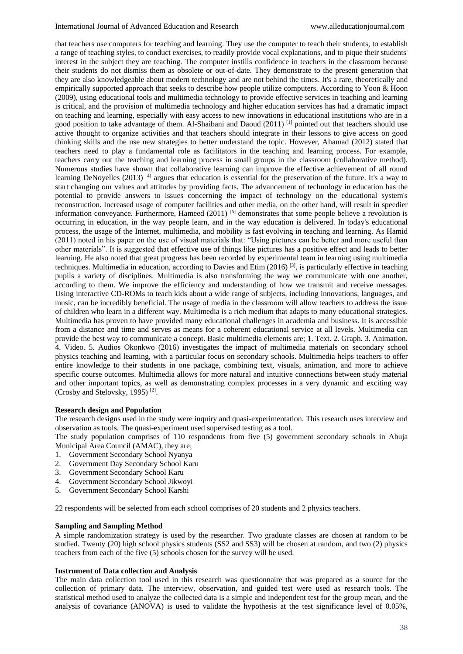that teachers use computers for teaching and learning. They use the computer to teach their students, to establish a range of teaching styles, to conduct exercises, to readily provide vocal explanations, and to pique their students' interest in the subject they are teaching. The computer instills confidence in teachers in the classroom because their students do not dismiss them as obsolete or out-of-date. They demonstrate to the present generation that they are also knowledgeable about modern technology and are not behind the times. It's a rare, theoretically and empirically supported approach that seeks to describe how people utilize computers. According to Yoon & Hoon (2009), using educational tools and multimedia technology to provide effective services in teaching and learning is critical, and the provision of multimedia technology and higher education services has had a dramatic impact on teaching and learning, especially with easy access to new innovations in educational institutions who are in a good position to take advantage of them. Al-Shaibani and Daoud (2011) <sup>[1]</sup> pointed out that teachers should use active thought to organize activities and that teachers should integrate in their lessons to give access on good thinking skills and the use new strategies to better understand the topic. However, Ahamad (2012) stated that teachers need to play a fundamental role as facilitators in the teaching and learning process. For example, teachers carry out the teaching and learning process in small groups in the classroom (collaborative method). Numerous studies have shown that collaborative learning can improve the effective achievement of all round learning DeNoyelles (2013)<sup>[4]</sup> argues that education is essential for the preservation of the future. It's a way to start changing our values and attitudes by providing facts. The advancement of technology in education has the potential to provide answers to issues concerning the impact of technology on the educational system's reconstruction. Increased usage of computer facilities and other media, on the other hand, will result in speedier information conveyance. Furthermore, Hameed (2011) <sup>[6]</sup> demonstrates that some people believe a revolution is occurring in education, in the way people learn, and in the way education is delivered. In today's educational process, the usage of the Internet, multimedia, and mobility is fast evolving in teaching and learning. As Hamid (2011) noted in his paper on the use of visual materials that: "Using pictures can be better and more useful than other materials". It is suggested that effective use of things like pictures has a positive effect and leads to better learning. He also noted that great progress has been recorded by experimental team in learning using multimedia techniques. Multimedia in education, according to Davies and Etim (2016) [3], is particularly effective in teaching pupils a variety of disciplines. Multimedia is also transforming the way we communicate with one another, according to them. We improve the efficiency and understanding of how we transmit and receive messages. Using interactive CD-ROMs to teach kids about a wide range of subjects, including innovations, languages, and music, can be incredibly beneficial. The usage of media in the classroom will allow teachers to address the issue of children who learn in a different way. Multimedia is a rich medium that adapts to many educational strategies. Multimedia has proven to have provided many educational challenges in academia and business. It is accessible from a distance and time and serves as means for a coherent educational service at all levels. Multimedia can provide the best way to communicate a concept. Basic multimedia elements are; 1. Text. 2. Graph. 3. Animation. 4. Video. 5. Audios Okonkwo (2016) investigates the impact of multimedia materials on secondary school physics teaching and learning, with a particular focus on secondary schools. Multimedia helps teachers to offer entire knowledge to their students in one package, combining text, visuals, animation, and more to achieve specific course outcomes. Multimedia allows for more natural and intuitive connections between study material and other important topics, as well as demonstrating complex processes in a very dynamic and exciting way (Crosby and Stelovsky, 1995) [2] .

#### **Research design and Population**

The research designs used in the study were inquiry and quasi-experimentation. This research uses interview and observation as tools. The quasi-experiment used supervised testing as a tool.

The study population comprises of 110 respondents from five (5) government secondary schools in Abuja Municipal Area Council (AMAC), they are;

- 1. Government Secondary School Nyanya
- 2. Government Day Secondary School Karu
- 3. Government Secondary School Karu
- 4. Government Secondary School Jikwoyi
- 5. Government Secondary School Karshi

22 respondents will be selected from each school comprises of 20 students and 2 physics teachers.

## **Sampling and Sampling Method**

A simple randomization strategy is used by the researcher. Two graduate classes are chosen at random to be studied. Twenty (20) high school physics students (SS2 and SS3) will be chosen at random, and two (2) physics teachers from each of the five (5) schools chosen for the survey will be used.

#### **Instrument of Data collection and Analysis**

The main data collection tool used in this research was questionnaire that was prepared as a source for the collection of primary data. The interview, observation, and guided test were used as research tools. The statistical method used to analyze the collected data is a simple and independent test for the group mean, and the analysis of covariance (ANOVA) is used to validate the hypothesis at the test significance level of 0.05%,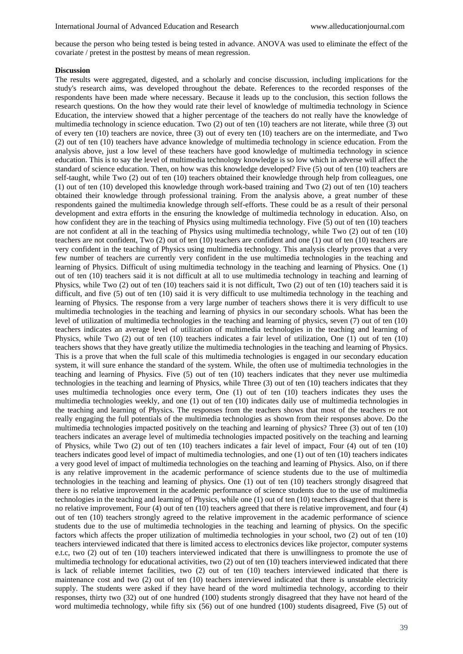because the person who being tested is being tested in advance. ANOVA was used to eliminate the effect of the covariate / pretest in the posttest by means of mean regression.

#### **Discussion**

The results were aggregated, digested, and a scholarly and concise discussion, including implications for the study's research aims, was developed throughout the debate. References to the recorded responses of the respondents have been made where necessary. Because it leads up to the conclusion, this section follows the research questions. On the how they would rate their level of knowledge of multimedia technology in Science Education, the interview showed that a higher percentage of the teachers do not really have the knowledge of multimedia technology in science education. Two (2) out of ten (10) teachers are not literate, while three (3) out of every ten (10) teachers are novice, three (3) out of every ten (10) teachers are on the intermediate, and Two (2) out of ten (10) teachers have advance knowledge of multimedia technology in science education. From the analysis above, just a low level of these teachers have good knowledge of multimedia technology in science education. This is to say the level of multimedia technology knowledge is so low which in adverse will affect the standard of science education. Then, on how was this knowledge developed? Five (5) out of ten (10) teachers are self-taught, while Two (2) out of ten (10) teachers obtained their knowledge through help from colleagues, one (1) out of ten (10) developed this knowledge through work-based training and Two (2) out of ten (10) teachers obtained their knowledge through professional training. From the analysis above, a great number of these respondents gained the multimedia knowledge through self-efforts. These could be as a result of their personal development and extra efforts in the ensuring the knowledge of multimedia technology in education. Also, on how confident they are in the teaching of Physics using multimedia technology. Five (5) out of ten (10) teachers are not confident at all in the teaching of Physics using multimedia technology, while Two (2) out of ten (10) teachers are not confident, Two (2) out of ten (10) teachers are confident and one (1) out of ten (10) teachers are very confident in the teaching of Physics using multimedia technology. This analysis clearly proves that a very few number of teachers are currently very confident in the use multimedia technologies in the teaching and learning of Physics. Difficult of using multimedia technology in the teaching and learning of Physics. One (1) out of ten (10) teachers said it is not difficult at all to use multimedia technology in teaching and learning of Physics, while Two (2) out of ten (10) teachers said it is not difficult, Two (2) out of ten (10) teachers said it is difficult, and five (5) out of ten (10) said it is very difficult to use multimedia technology in the teaching and learning of Physics. The response from a very large number of teachers shows there it is very difficult to use multimedia technologies in the teaching and learning of physics in our secondary schools. What has been the level of utilization of multimedia technologies in the teaching and learning of physics, seven (7) out of ten (10) teachers indicates an average level of utilization of multimedia technologies in the teaching and learning of Physics, while Two (2) out of ten (10) teachers indicates a fair level of utilization, One (1) out of ten (10) teachers shows that they have greatly utilize the multimedia technologies in the teaching and learning of Physics. This is a prove that when the full scale of this multimedia technologies is engaged in our secondary education system, it will sure enhance the standard of the system. While, the often use of multimedia technologies in the teaching and learning of Physics. Five (5) out of ten (10) teachers indicates that they never use multimedia technologies in the teaching and learning of Physics, while Three (3) out of ten (10) teachers indicates that they uses multimedia technologies once every term, One (1) out of ten (10) teachers indicates they uses the multimedia technologies weekly, and one (1) out of ten (10) indicates daily use of multimedia technologies in the teaching and learning of Physics. The responses from the teachers shows that most of the teachers re not really engaging the full potentials of the multimedia technologies as shown from their responses above. Do the multimedia technologies impacted positively on the teaching and learning of physics? Three (3) out of ten (10) teachers indicates an average level of multimedia technologies impacted positively on the teaching and learning of Physics, while Two (2) out of ten (10) teachers indicates a fair level of impact, Four (4) out of ten (10) teachers indicates good level of impact of multimedia technologies, and one (1) out of ten (10) teachers indicates a very good level of impact of multimedia technologies on the teaching and learning of Physics. Also, on if there is any relative improvement in the academic performance of science students due to the use of multimedia technologies in the teaching and learning of physics. One (1) out of ten (10) teachers strongly disagreed that there is no relative improvement in the academic performance of science students due to the use of multimedia technologies in the teaching and learning of Physics, while one (1) out of ten (10) teachers disagreed that there is no relative improvement, Four (4) out of ten (10) teachers agreed that there is relative improvement, and four (4) out of ten (10) teachers strongly agreed to the relative improvement in the academic performance of science students due to the use of multimedia technologies in the teaching and learning of physics. On the specific factors which affects the proper utilization of multimedia technologies in your school, two (2) out of ten (10) teachers interviewed indicated that there is limited access to electronics devices like projector, computer systems e.t.c, two (2) out of ten (10) teachers interviewed indicated that there is unwillingness to promote the use of multimedia technology for educational activities, two (2) out of ten (10) teachers interviewed indicated that there is lack of reliable internet facilities, two (2) out of ten (10) teachers interviewed indicated that there is maintenance cost and two (2) out of ten (10) teachers interviewed indicated that there is unstable electricity supply. The students were asked if they have heard of the word multimedia technology, according to their responses, thirty two (32) out of one hundred (100) students strongly disagreed that they have not heard of the word multimedia technology, while fifty six (56) out of one hundred (100) students disagreed, Five (5) out of